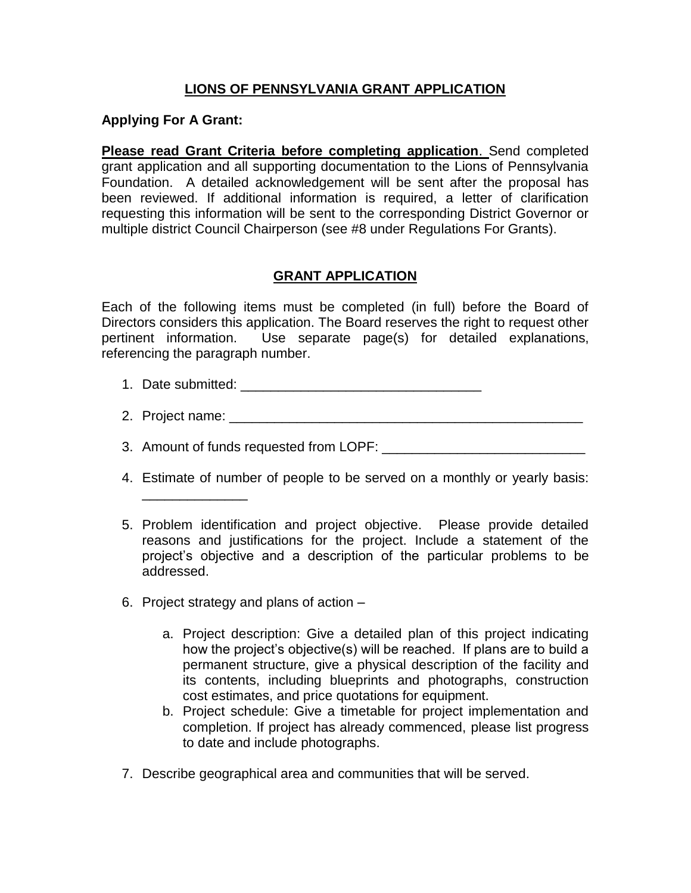## **LIONS OF PENNSYLVANIA GRANT APPLICATION**

## **Applying For A Grant:**

**Please read Grant Criteria before completing application**. Send completed grant application and all supporting documentation to the Lions of Pennsylvania Foundation. A detailed acknowledgement will be sent after the proposal has been reviewed. If additional information is required, a letter of clarification requesting this information will be sent to the corresponding District Governor or multiple district Council Chairperson (see #8 under Regulations For Grants).

## **GRANT APPLICATION**

Each of the following items must be completed (in full) before the Board of Directors considers this application. The Board reserves the right to request other pertinent information. Use separate page(s) for detailed explanations, referencing the paragraph number.

- 1. Date submitted: \_\_\_\_\_\_\_\_\_\_\_\_\_\_\_\_\_\_\_\_\_\_\_\_\_\_\_\_\_\_\_\_
- 2. Project name:  $\overline{a}$
- 3. Amount of funds requested from LOPF:
- 4. Estimate of number of people to be served on a monthly or yearly basis:
- 5. Problem identification and project objective. Please provide detailed reasons and justifications for the project. Include a statement of the project's objective and a description of the particular problems to be addressed.
- 6. Project strategy and plans of action –

\_\_\_\_\_\_\_\_\_\_\_\_\_\_

- a. Project description: Give a detailed plan of this project indicating how the project's objective(s) will be reached. If plans are to build a permanent structure, give a physical description of the facility and its contents, including blueprints and photographs, construction cost estimates, and price quotations for equipment.
- b. Project schedule: Give a timetable for project implementation and completion. If project has already commenced, please list progress to date and include photographs.
- 7. Describe geographical area and communities that will be served.